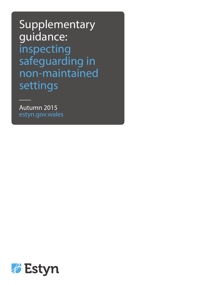Supplementary guidance: inspecting safeguarding in non-maintained settings

Autumn 2015 estyn.gov.wales

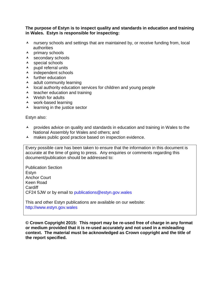#### **The purpose of Estyn is to inspect quality and standards in education and training in Wales. Estyn is responsible for inspecting:**

- A nursery schools and settings that are maintained by, or receive funding from, local authorities
- $\lambda$  primary schools
- $\lambda$  secondary schools
- $\lambda$  special schools
- $\lambda$  pupil referral units
- A independent schools
- $\blacktriangle$  further education
- $\lambda$  adult community learning
- $\lambda$  local authority education services for children and young people
- $\lambda$  teacher education and training
- ▲ Welsh for adults
- $\lambda$  work-based learning
- $\lambda$  learning in the justice sector

Estyn also:

- $\overline{A}$  provides advice on quality and standards in education and training in Wales to the National Assembly for Wales and others; and
- A makes public good practice based on inspection evidence.

Every possible care has been taken to ensure that the information in this document is accurate at the time of going to press. Any enquiries or comments regarding this document/publication should be addressed to:

Publication Section **Estyn** Anchor Court Keen Road **Cardiff** CF24 5JW or by email to [publications@estyn.gov.wales](mailto:publications@estyn.gov.wales)

This and other Estyn publications are available on our website: [http://www.estyn.gov.wales](http://www.estyn.gov.wales/)

**© Crown Copyright 2015: This report may be re-used free of charge in any format or medium provided that it is re-used accurately and not used in a misleading context. The material must be acknowledged as Crown copyright and the title of the report specified.**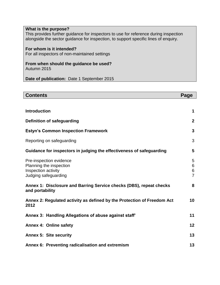| What is the purpose?<br>This provides further guidance for inspectors to use for reference during inspection<br>alongside the sector guidance for inspection, to support specific lines of enquiry. |
|-----------------------------------------------------------------------------------------------------------------------------------------------------------------------------------------------------|
| For whom is it intended?<br>For all inspectors of non-maintained settings                                                                                                                           |
| From when should the guidance be used?<br>Autumn 2015                                                                                                                                               |

**Date of publication:** Date 1 September 2015

| <b>Contents</b>                                                                                   | Page                              |
|---------------------------------------------------------------------------------------------------|-----------------------------------|
|                                                                                                   |                                   |
| <b>Introduction</b>                                                                               | 1                                 |
| <b>Definition of safeguarding</b>                                                                 | $\mathbf{2}$                      |
| <b>Estyn's Common Inspection Framework</b>                                                        | $\mathbf{3}$                      |
| Reporting on safeguarding                                                                         | 3                                 |
| Guidance for inspectors in judging the effectiveness of safeguarding                              | 5                                 |
| Pre-inspection evidence<br>Planning the inspection<br>Inspection activity<br>Judging safeguarding | 5<br>6<br>$\,6$<br>$\overline{7}$ |
| Annex 1: Disclosure and Barring Service checks (DBS), repeat checks<br>and portability            | 8                                 |
| Annex 2: Regulated activity as defined by the Protection of Freedom Act<br>2012                   | 10                                |
| Annex 3: Handling Allegations of abuse against staff'                                             | 11                                |
| <b>Annex 4: Online safety</b>                                                                     | 12                                |
| <b>Annex 5: Site security</b>                                                                     | 13                                |
| Annex 6: Preventing radicalisation and extremism                                                  | 13                                |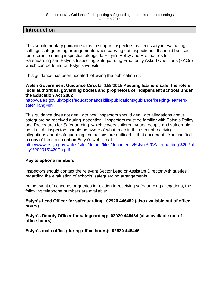# **Introduction**

This supplementary guidance aims to support inspectors as necessary in evaluating settings' safeguarding arrangements when carrying out inspections. It should be used for reference during inspection alongside Estyn's Policy and Procedures for Safeguarding and Estyn's Inspecting Safeguarding Frequently Asked Questions (FAQs) which can be found on Estyn's website.

This guidance has been updated following the publication of:

#### **Welsh Government Guidance Circular 158/2015 Keeping learners safe: the role of local authorities, governing bodies and proprietors of independent schools under the Education Act 2002**

[http://wales.gov.uk/topics/educationandskills/publications/guidance/keeping-learners](http://wales.gov.uk/topics/educationandskills/publications/guidance/keeping-learners-safe/?lang=en)[safe/?lang=en](http://wales.gov.uk/topics/educationandskills/publications/guidance/keeping-learners-safe/?lang=en)

This guidance does not deal with how inspectors should deal with allegations about safeguarding received during inspection. Inspectors must be familiar with Estyn's Policy and Procedures for Safeguarding, which covers children, young people and vulnerable adults. All inspectors should be aware of what to do in the event of receiving allegations about safeguarding and actions are outlined in that document. You can find a copy of the document on Estyn's website at

[http://www.estyn.gov.wales/sites/default/files/documents/Estyn%20Safeguarding%20Pol](http://www.estyn.gov.wales/sites/default/files/documents/Estyn%20Safeguarding%20Policy%202015%20En.pdf) [icy%202015%20En.pdf](http://www.estyn.gov.wales/sites/default/files/documents/Estyn%20Safeguarding%20Policy%202015%20En.pdf) .

### **Key telephone numbers**

Inspectors should contact the relevant Sector Lead or Assistant Director with queries regarding the evaluation of schools' safeguarding arrangements.

In the event of concerns or queries in relation to receiving safeguarding allegations, the following telephone numbers are available:

#### **Estyn's Lead Officer for safeguarding: 02920 446482 (also available out of office hours)**

**Estyn's Deputy Officer for safeguarding: 02920 446484 (also available out of office hours)**

**Estyn's main office (during office hours): 02920 446446**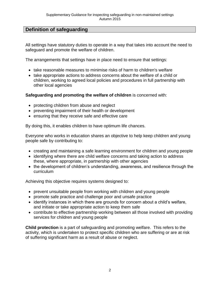# **Definition of safeguarding**

All settings have statutory duties to operate in a way that takes into account the need to safeguard and promote the welfare of children.

The arrangements that settings have in place need to ensure that settings:

- take reasonable measures to minimise risks of harm to children's welfare
- take appropriate actions to address concerns about the welfare of a child or children, working to agreed local policies and procedures in full partnership with other local agencies

**Safeguarding and promoting the welfare of children** is concerned with:

- protecting children from abuse and neglect
- preventing impairment of their health or development
- ensuring that they receive safe and effective care

By doing this, it enables children to have optimum life chances.

Everyone who works in education shares an objective to help keep children and young people safe by contributing to:

- creating and maintaining a safe learning environment for children and young people
- identifying where there are child welfare concerns and taking action to address these, where appropriate, in partnership with other agencies
- the development of children's understanding, awareness, and resilience through the curriculum

Achieving this objective requires systems designed to:

- prevent unsuitable people from working with children and young people
- promote safe practice and challenge poor and unsafe practice
- identify instances in which there are grounds for concern about a child's welfare, and initiate or take appropriate action to keep them safe
- contribute to effective partnership working between all those involved with providing services for children and young people

**Child protection** is a part of safeguarding and promoting welfare. This refers to the activity, which is undertaken to protect specific children who are suffering or are at risk of suffering significant harm as a result of abuse or neglect.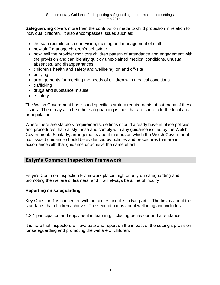**Safeguarding** covers more than the contribution made to child protection in relation to individual children. It also encompasses issues such as:

- the safe recruitment, supervision, training and management of staff
- how staff manage children's behaviour
- how well the provider monitors children pattern of attendance and engagement with the provision and can identify quickly unexplained medical conditions, unusual absences, and disappearances
- children's health and safety and wellbeing, on and off-site
- bullying
- arrangements for meeting the needs of children with medical conditions
- trafficking
- drugs and substance misuse
- e-safety.

The Welsh Government has issued specific statutory requirements about many of these issues. There may also be other safeguarding issues that are specific to the local area or population.

Where there are statutory requirements, settings should already have in place policies and procedures that satisfy those and comply with any guidance issued by the Welsh Government. Similarly, arrangements about matters on which the Welsh Government has issued guidance should be evidenced by policies and procedures that are in accordance with that guidance or achieve the same effect.

### **Estyn's Common Inspection Framework**

Estyn's Common Inspection Framework places high priority on safeguarding and promoting the welfare of learners, and it will always be a line of inquiry

#### **Reporting on safeguarding**

Key Question 1 is concerned with outcomes and it is in two parts. The first is about the standards that children achieve. The second part is about wellbeing and includes:

1.2.1 participation and enjoyment in learning, including behaviour and attendance

It is here that inspectors will evaluate and report on the impact of the setting's provision for safeguarding and promoting the welfare of children.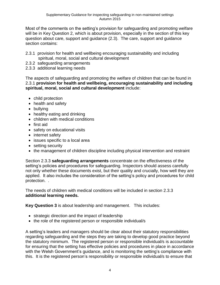Most of the comments on the setting's provision for safeguarding and promoting welfare will be in Key Question 2, which is about provision, especially in the section of this key question about care, support and guidance (2.3). The care, support and guidance section contains:

- 2.3.1 provision for health and wellbeing encouraging sustainability and including spiritual, moral, social and cultural development
- 2.3.2 safeguarding arrangements
- 2.3.3 additional learning needs

The aspects of safeguarding and promoting the welfare of children that can be found in 2.3.1 **provision for health and wellbeing, encouraging sustainability and including spiritual, moral, social and cultural development** include:

- child protection
- health and safety
- bullying
- healthy eating and drinking
- children with medical conditions
- first aid
- safety on educational visits
- internet safety
- issues specific to a local area
- setting security
- the management of children discipline including physical intervention and restraint

Section 2.3.3 **safeguarding arrangements** concentrate on the effectiveness of the setting's policies and procedures for safeguarding. Inspectors should assess carefully not only whether these documents exist, but their quality and crucially, how well they are applied. It also includes the consideration of the setting's policy and procedures for child protection. .

The needs of children with medical conditions will be included in section 2.3.3 **additional learning needs.** 

**Key Question 3** is about leadership and management. This includes:

- strategic direction and the impact of leadership
- the role of the registered person or responsible individual/s

A setting's leaders and managers should be clear about their statutory responsibilities regarding safeguarding and the steps they are taking to develop good practice beyond the statutory minimum. The registered person or responsible individual/s is accountable for ensuring that the setting has effective policies and procedures in place in accordance with the Welsh Government's guidance, and is monitoring the setting's compliance with this. It is the registered person's responsibility or responsible individual/s to ensure that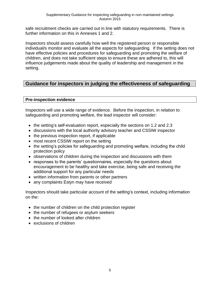safe recruitment checks are carried out in line with statutory requirements. There is further information on this in Annexes 1 and 2.

Inspectors should assess carefully how well the registered person or responsible individual/s monitor and evaluate all the aspects for safeguarding. If the setting does not have effective policies and procedures for safeguarding and promoting the welfare of children, and does not take sufficient steps to ensure these are adhered to, this will influence judgements made about the quality of leadership and management in the setting.

# **Guidance for inspectors in judging the effectiveness of safeguarding**

### **Pre-inspection evidence**

Inspectors will use a wide range of evidence. Before the inspection, in relation to safeguarding and promoting welfare, the lead inspector will consider:

- the setting's self-evaluation report, especially the sections on 1.2 and 2.3
- discussions with the local authority advisory teacher and CSSIW inspector
- $\bullet$  the previous inspection report, if applicable
- most recent CSSIW report on the setting
- the setting's policies for safeguarding and promoting welfare, including the child protection policy
- observations of children during the inspection and discussions with them
- responses to the parents' questionnaires, especially the questions about encouragement to be healthy and take exercise, being safe and receiving the additional support for any particular needs
- written information from parents or other partners
- any complaints Estyn may have received

Inspectors should take particular account of the setting's context, including information on the:

- the number of children on the child protection register
- the number of refugees or asylum seekers
- the number of looked after children
- exclusions of children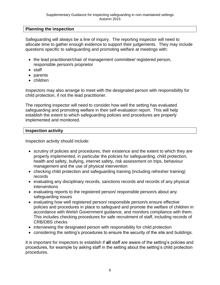### **Planning the inspection**

Safeguarding will always be a line of inquiry. The reporting inspector will need to allocate time to gather enough evidence to support their judgements. They may include questions specific to safeguarding and promoting welfare at meetings with:

- the lead practitioner/chair of management committee/ registered person, responsible person/s proprietor
- staff
- parents
- children

Inspectors may also arrange to meet with the designated person with responsibility for child protection, if not the lead practitioner.

The reporting inspector will need to consider how well the setting has evaluated safeguarding and promoting welfare in their self-evaluation report. This will help establish the extent to which safeguarding policies and procedures are properly implemented and monitored.

#### **Inspection activity**

Inspection activity should include:

- scrutiny of policies and procedures, their existence and the extent to which they are properly implemented, in particular the policies for safeguarding, child protection, health and safety, bullying, internet safety, risk assessment on trips, behaviour management and the use of physical intervention
- checking child protection and safeguarding training (including refresher training) records
- evaluating any disciplinary records, sanctions records and records of any physical interventions
- evaluating reports to the registered person/ responsible person/s about any safeguarding issues
- evaluating how well registered person/ responsible person/s ensure effective policies and procedures in place to safeguard and promote the welfare of children in accordance with Welsh Government guidance, and monitors compliance with them. This includes checking procedures for safe recruitment of staff, including records of CRB/DBS checks
- interviewing the designated person with responsibility for child protection
- considering the setting's procedures to ensure the security of the site and buildings.

It is important for inspectors to establish if **all** staff are aware of the setting's policies and procedures, for example by asking staff in the setting about the setting's child protection procedures.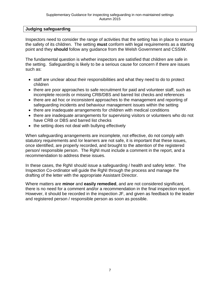#### **Judging safeguarding**

Inspectors need to consider the range of activities that the setting has in place to ensure the safety of its children. The setting **must** conform with legal requirements as a starting point and they **should** follow any guidance from the Welsh Government and CSSIW.

The fundamental question is whether inspectors are satisfied that children are safe in the setting. Safeguarding is likely to be a serious cause for concern if there are issues such as:

- staff are unclear about their responsibilities and what they need to do to protect children
- there are poor approaches to safe recruitment for paid and volunteer staff, such as incomplete records or missing CRB/DBS and barred list checks and references
- there are ad hoc or inconsistent approaches to the management and reporting of safeguarding incidents and behaviour management issues within the setting
- there are inadequate arrangements for children with medical conditions
- there are inadequate arrangements for supervising visitors or volunteers who do not have CRB or DBS and barred list checks
- the setting does not deal with bullying effectively

When safeguarding arrangements are incomplete, not effective, do not comply with statutory requirements and /or learners are not safe, it is important that these issues, once identified, are properly recorded, and brought to the attention of the registered person/ responsible person. The RgNI must include a comment in the report, and a recommendation to address these issues.

In these cases, the RgNI should issue a safeguarding / health and safety letter. The Inspection Co-ordinator will guide the RgNI through the process and manage the drafting of the letter with the appropriate Assistant Director.

Where matters are **minor** and **easily remedied**, and are not considered significant, there is no need for a comment and/or a recommendation in the final inspection report. However, it should be recorded in the inspection JF, and given as feedback to the leader and registered person / responsible person as soon as possible.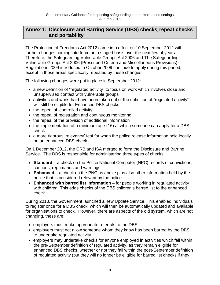# **Annex 1: Disclosure and Barring Service (DBS) checks**, **repeat checks and portability**

The Protection of Freedoms Act 2012 came into effect on 10 September 2012 with further changes coming into force on a staged basis over the next few of years. Therefore, the Safeguarding Vulnerable Groups Act 2006 and The Safeguarding Vulnerable Groups Act 2006 (Prescribed Criteria and Miscellaneous Provisions) Regulations 2009 introduced in October 2009 continue to apply during this period, except in those areas specifically repealed by these changes.

The following changes were put in place in September 2012:

- a new definition of "regulated activity" to focus on work which involves close and unsupervised contact with vulnerable groups
- activities and work that have been taken out of the definition of "regulated activity" will still be eligible for Enhanced DBS checks
- the repeal of 'controlled activity'
- the repeal of registration and continuous monitoring
- the repeal of the provision of additional information
- the implementation of a minimum age (16) at which someone can apply for a DBS check
- a more rigorous 'relevancy' test for when the police release information held locally on an enhanced DBS check

On 1 December 2012, the CRB and ISA merged to form the Disclosure and Barring Service. The DBS is responsible for administering three types of checks:

- **Standard** a check on the Police National Computer (NPC) records of convictions, cautions, reprimands and warnings
- **Enhanced**  a check on the PNC as above plus also other information held by the police that is considered relevant by the police
- **Enhanced with barred list information** for people working in regulated activity with children. This adds checks of the DBS children's barred list to the enhanced check

During 2013, the Government launched a new Update Service. This enabled individuals to register once for a DBS check, which will then be automatically updated and available for organisations to check. However, there are aspects of the old system, which are not changing, these are:

- employers must make appropriate referrals to the DBS
- employers must not allow someone whom they know has been barred by the DBS to undertake regulated activity
- employers may undertake checks for anyone employed in activities which fall within the pre-September definition of regulated activity, as they remain eligible for enhanced DBS checks, whether or not they fall within the post-September definition of regulated activity (but they will no longer be eligible for barred list checks if they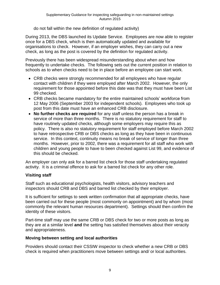do not fall within the new definition of regulated activity)

During 2013, the DBS launched its Update Service. Employees are now able to register once for a DBS check, which is then automatically updated and available for organisations to check. However, if an employer wishes, they can carry out a new check, as long as the post is covered by the definition for regulated activity.

Previously there has been widespread misunderstanding about when and how frequently to undertake checks. The following sets out the current position in relation to schools as to when checks need to be in place before an employee can start work.

- CRB checks were strongly recommended for all employees who have regular contact with children if they were employed after March 2002. However, the only requirement for those appointed before this date was that they must have been List 99 checked.
- CRB checks became mandatory for the entire maintained schools' workforce from 12 May 2006 (September 2003 for independent schools). Employees who took up post from this date must have an enhanced CRB disclosure.
- **No further checks are required** for any staff unless the person has a break in service of more than three months. There is no statutory requirement for staff to have routinely updated checks, although some employers may require this as policy. There is also no statutory requirement for staff employed before March 2002 to have retrospective CRB or DBS checks as long as they have been in continuous service. In this context, continuity means no break of service of longer than three months. However, prior to 2002, there was a requirement for all staff who work with children and young people to have to been checked against List 99, and evidence of this should be checked.

An employer can only ask for a barred list check for those staff undertaking regulated activity. It is a criminal offence to ask for a barred list check for any other role.

### **Visiting staff**

Staff such as educational psychologists, health visitors, advisory teachers and inspectors should CRB and DBS and barred list checked by their employer.

It is sufficient for settings to seek written confirmation that all appropriate checks, have been carried out for these people (most commonly on appointment) and by whom (most commonly the relevant human resources department). Settings should then confirm the identity of these visitors.

Part-time staff may use the same CRB or DBS check for two or more posts as long as they are at a similar level **and** the setting has satisfied themselves about their veracity and appropriateness.

### **Moving between setting and local authorities**

Providers should contact their CSSIW inspector to check whether a new CRB or DBS check is required when practitioners move between settings and/ or local authorities.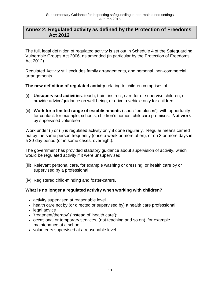### **Annex 2: Regulated activity as defined by the Protection of Freedoms Act 2012**

The full, legal definition of regulated activity is set out in Schedule 4 of the Safeguarding Vulnerable Groups Act 2006, as amended (in particular by the Protection of Freedoms Act 2012).

Regulated Activity still excludes family arrangements, and personal, non-commercial arrangements.

**The new definition of regulated activity** relating to children comprises of:

- (i) **Unsupervised activities**: teach, train, instruct, care for or supervise children, or provide advice/guidance on well-being, or drive a vehicle only for children
- (ii) **Work for a limited range of establishments** ('specified places'), with opportunity for contact: for example, schools, children's homes, childcare premises. **Not work** by supervised volunteers

Work under (i) or (ii) is regulated activity only if done regularly. Regular means carried out by the same person frequently (once a week or more often), or on 3 or more days in a 30-day period (or in some cases, overnight).

The government has provided statutory guidance about supervision of activity, which would be regulated activity if it were unsupervised.

- (iii) Relevant personal care, for example washing or dressing; or health care by or supervised by a professional
- (iv) Registered child-minding and foster-carers.

### **What is no longer a regulated activity when working with children?**

- activity supervised at reasonable level
- health care not by (or directed or supervised by) a health care professional
- legal advice
- 'treatment/therapy' (instead of 'health care');
- occasional or temporary services, (not teaching and so on), for example maintenance at a school
- volunteers supervised at a reasonable level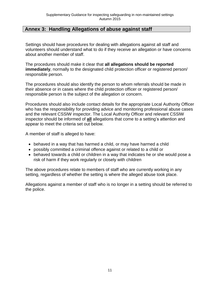### **Annex 3: Handling Allegations of abuse against staff**

Settings should have procedures for dealing with allegations against all staff and volunteers should understand what to do if they receive an allegation or have concerns about another member of staff.

The procedures should make it clear that **all allegations should be reported immediately**, normally to the designated child protection officer or registered person/ responsible person.

The procedures should also identify the person to whom referrals should be made in their absence or in cases where the child protection officer or registered person/ responsible person is the subject of the allegation or concern.

Procedures should also include contact details for the appropriate Local Authority Officer who has the responsibility for providing advice and monitoring professional abuse cases and the relevant CSSIW inspector. The Local Authority Officer and relevant CSSIW inspector should be informed of **all** allegations that come to a setting's attention and appear to meet the criteria set out below.

A member of staff is alleged to have:

- behaved in a way that has harmed a child, or may have harmed a child
- possibly committed a criminal offence against or related to a child or
- behaved towards a child or children in a way that indicates he or she would pose a risk of harm if they work regularly or closely with children

The above procedures relate to members of staff who are currently working in any setting, regardless of whether the setting is where the alleged abuse took place.

Allegations against a member of staff who is no longer in a setting should be referred to the police.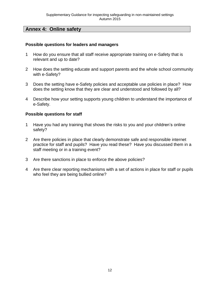# **Annex 4: Online safety**

#### **Possible questions for leaders and managers**

- 1 How do you ensure that all staff receive appropriate training on e-Safety that is relevant and up to date?
- 2 How does the setting educate and support parents and the whole school community with e-Safety?
- 3 Does the setting have e-Safety policies and acceptable use policies in place? How does the setting know that they are clear and understood and followed by all?
- 4 Describe how your setting supports young children to understand the importance of e-Safety.

#### **Possible questions for staff**

- 1 Have you had any training that shows the risks to you and your children's online safety?
- 2 Are there policies in place that clearly demonstrate safe and responsible internet practice for staff and pupils? Have you read these? Have you discussed them in a staff meeting or in a training event?
- 3 Are there sanctions in place to enforce the above policies?
- 4 Are there clear reporting mechanisms with a set of actions in place for staff or pupils who feel they are being bullied online?